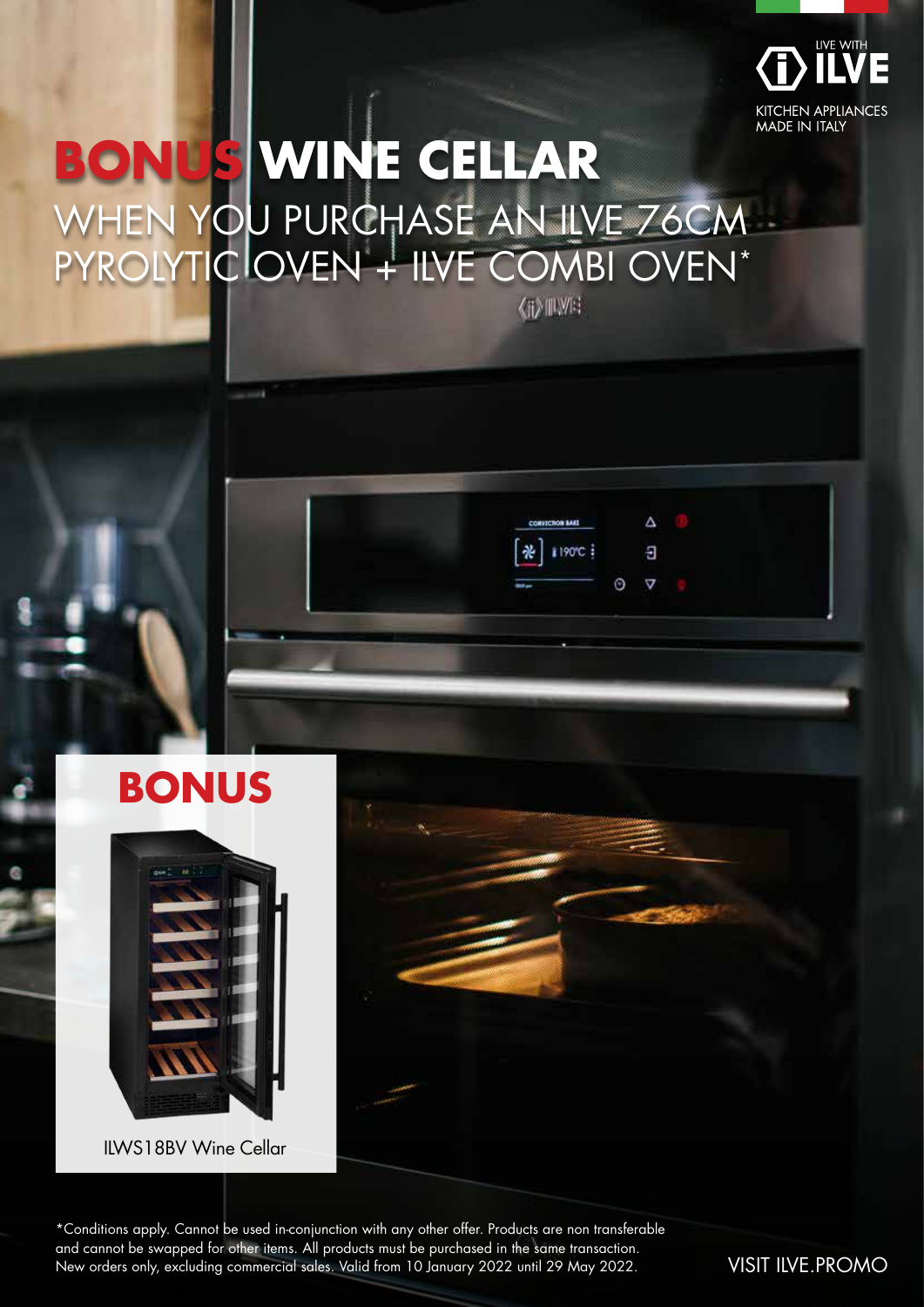

Δ Ð

 $\odot$  $\triangledown$ 

1190°C

# **BONUS WINE CELLAR** WHEN YOU PURCHASE AN ILVE 76CM PYROLYTIC OVEN + ILVE COMBI OVEN\*





ILWS18BV Wine Cellar

\*Conditions apply. Cannot be used in-conjunction with any other offer. Products are non transferable and cannot be swapped for other items. All products must be purchased in the same transaction. New orders only, excluding commercial sales. Valid from 10 January 2022 until 29 May 2022. VISIT ILVE.PROMO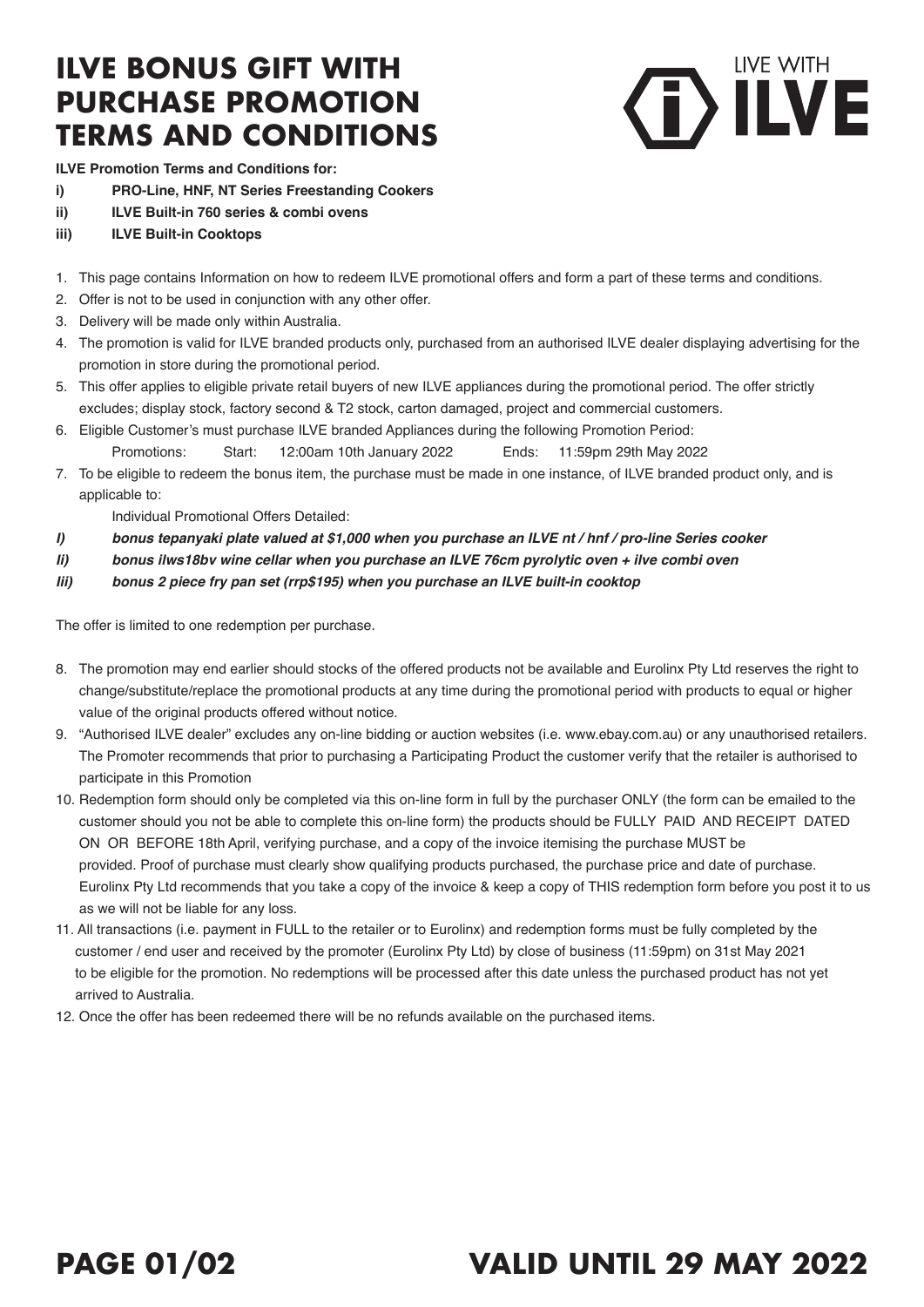### **ILVE BONUS GIFT WITH PURCHASE PROMOTION TERMS AND CONDITIONS**



**ILVE Promotion Terms and Conditions for:**

- **i) PRO-Line, HNF, NT Series Freestanding Cookers**
- **ii) ILVE Built-in 760 series & combi ovens**
- **iii) ILVE Built-in Cooktops**
- 1. This page contains Information on how to redeem ILVE promotional offers and form a part of these terms and conditions.
- 2. Offer is not to be used in conjunction with any other offer.
- 3. Delivery will be made only within Australia.
- 4. The promotion is valid for ILVE branded products only, purchased from an authorised ILVE dealer displaying advertising for the promotion in store during the promotional period.
- 5. This offer applies to eligible private retail buyers of new ILVE appliances during the promotional period. The offer strictly excludes; display stock, factory second & T2 stock, carton damaged, project and commercial customers.
- 6. Eligible Customer's must purchase ILVE branded Appliances during the following Promotion Period: Promotions: Start: 12:00am 10th January 2022 Ends: 11:59pm 29th May 2022
- 7. To be eligible to redeem the bonus item, the purchase must be made in one instance, of ILVE branded product only, and is applicable to:

Individual Promotional Offers Detailed:

- *I) bonus tepanyaki plate valued at \$1,000 when you purchase an ILVE nt / hnf / pro-line Series cooker*
- *Ii) bonus ilws18bv wine cellar when you purchase an ILVE 76cm pyrolytic oven + ilve combi oven*
- *Iii) bonus 2 piece fry pan set (rrp\$195) when you purchase an ILVE built-in cooktop*

The offer is limited to one redemption per purchase.

- 8. The promotion may end earlier should stocks of the offered products not be available and Eurolinx Pty Ltd reserves the right to change/substitute/replace the promotional products at any time during the promotional period with products to equal or higher value of the original products offered without notice.
- 9. "Authorised ILVE dealer" excludes any on-line bidding or auction websites (i.e. www.ebay.com.au) or any unauthorised retailers. The Promoter recommends that prior to purchasing a Participating Product the customer verify that the retailer is authorised to participate in this Promotion
- 10. Redemption form should only be completed via this on-line form in full by the purchaser ONLY (the form can be emailed to the customer should you not be able to complete this on-line form) the products should be FULLY PAID AND RECEIPT DATED ON OR BEFORE 18th April, verifying purchase, and a copy of the invoice itemising the purchase MUST be provided. Proof of purchase must clearly show qualifying products purchased, the purchase price and date of purchase. Eurolinx Pty Ltd recommends that you take a copy of the invoice & keep a copy of THIS redemption form before you post it to us as we will not be liable for any loss.
- 11. All transactions (i.e. payment in FULL to the retailer or to Eurolinx) and redemption forms must be fully completed by the customer / end user and received by the promoter (Eurolinx Pty Ltd) by close of business (11:59pm) on 31st May 2021 to be eligible for the promotion. No redemptions will be processed after this date unless the purchased product has not yet arrived to Australia.
- 12. Once the offer has been redeemed there will be no refunds available on the purchased items.

## **PAGE 01/02 VALID UNTIL 29 MAY 2022**